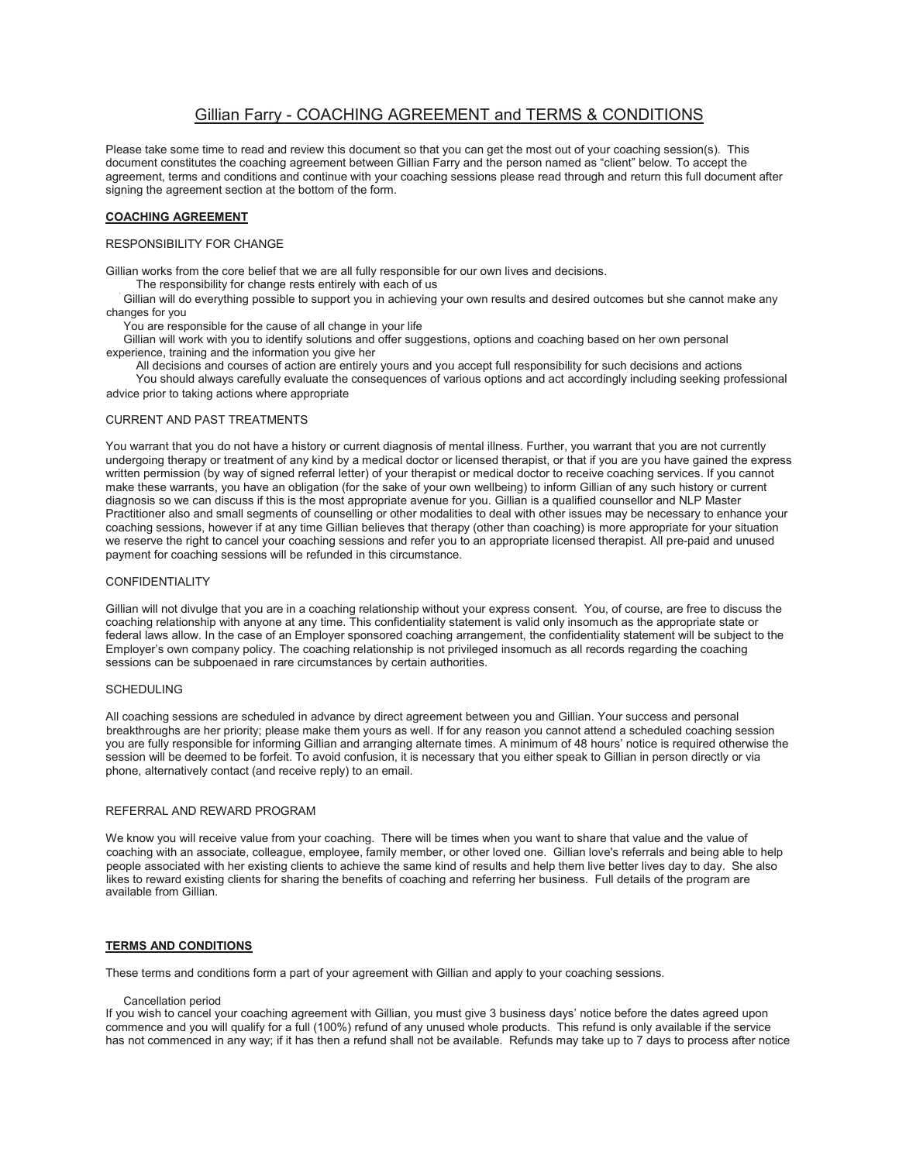# Gillian Farry - COACHING AGREEMENT and TERMS & CONDITIONS

Please take some time to read and review this document so that you can get the most out of your coaching session(s). This document constitutes the coaching agreement between Gillian Farry and the person named as "client" below. To accept the agreement, terms and conditions and continue with your coaching sessions please read through and return this full document after signing the agreement section at the bottom of the form.

# **COACHING AGREEMENT**

# RESPONSIBILITY FOR CHANGE

Gillian works from the core belief that we are all fully responsible for our own lives and decisions.

The responsibility for change rests entirely with each of us

Gillian will do everything possible to support you in achieving your own results and desired outcomes but she cannot make any changes for you changes for you

• You are responsible for the cause of all change in your life You are responsible for the cause of all change in your life

Gillian will work with you to identify solutions and offer suggestions, options and coaching based on her own personal experience, training and the information you give her

 • All decisions and courses of action are entirely yours and you accept full responsibility for such decisions and actions • You should always carefully evaluate the consequences of various options and act accordingly including seeking professional advice prior to taking actions where appropriate advice prior to taking actions where appropriate

### CURRENT AND PAST TREATMENTS

You warrant that you do not have a history or current diagnosis of mental illness. Further, you warrant that you are not currently undergoing therapy or treatment of any kind by a medical doctor or licensed therapist, or that if you are you have gained the express written permission (by way of signed referral letter) of your therapist or medical doctor to receive coaching services. If you cannot make these warrants, you have an obligation (for the sake of your own wellbeing) to inform Gillian of any such history or current diagnosis so we can discuss if this is the most appropriate avenue for you. Gillian is a qualified counsellor and NLP Master Practitioner also and small segments of counselling or other modalities to deal with other issues may be necessary to enhance your coaching sessions, however if at any time Gillian believes that therapy (other than coaching) is more appropriate for your situation we reserve the right to cancel your coaching sessions and refer you to an appropriate licensed therapist. All pre-paid and unused payment for coaching sessions will be refunded in this circumstance.

### **CONFIDENTIALITY**

Gillian will not divulge that you are in a coaching relationship without your express consent. You, of course, are free to discuss the coaching relationship with anyone at any time. This confidentiality statement is valid only insomuch as the appropriate state or federal laws allow. In the case of an Employer sponsored coaching arrangement, the confidentiality statement will be subject to the Employer's own company policy. The coaching relationship is not privileged insomuch as all records regarding the coaching sessions can be subpoenaed in rare circumstances by certain authorities.

### SCHEDULING

All coaching sessions are scheduled in advance by direct agreement between you and Gillian. Your success and personal breakthroughs are her priority; please make them yours as well. If for any reason you cannot attend a scheduled coaching session you are fully responsible for informing Gillian and arranging alternate times. A minimum of 48 hours' notice is required otherwise the session will be deemed to be forfeit. To avoid confusion, it is necessary that you either speak to Gillian in person directly or via phone, alternatively contact (and receive reply) to an email.

### REFERRAL AND REWARD PROGRAM

We know you will receive value from your coaching. There will be times when you want to share that value and the value of coaching with an associate, colleague, employee, family member, or other loved one. Gillian love's referrals and being able to help people associated with her existing clients to achieve the same kind of results and help them live better lives day to day. She also likes to reward existing clients for sharing the benefits of coaching and referring her business. Full details of the program are available from Gillian.

### **TERMS AND CONDITIONS**

These terms and conditions form a part of your agreement with Gillian and apply to your coaching sessions.

### Cancellation period

If you wish to cancel your coaching agreement with Gillian, you must give 3 business days' notice before the dates agreed upon commence and you will qualify for a full (100%) refund of any unused whole products. This refund is only available if the service has not commenced in any way; if it has then a refund shall not be available. Refunds may take up to 7 days to process after notice